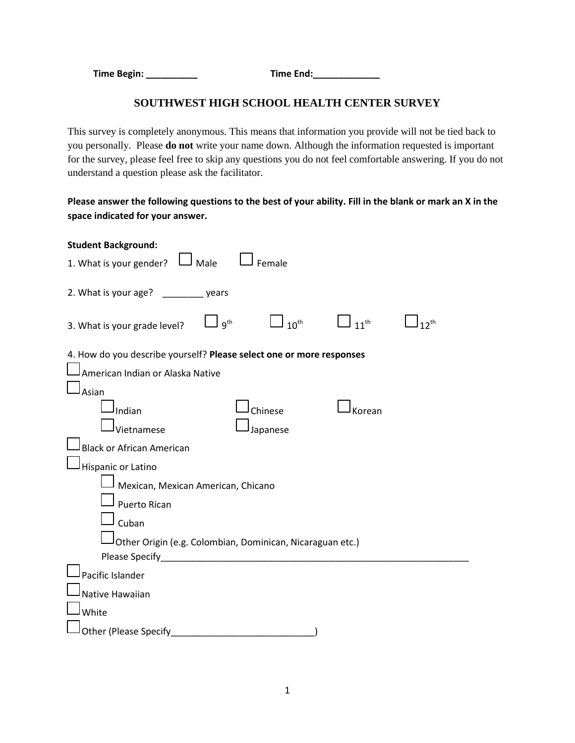**Time Begin: \_\_\_\_\_\_\_\_\_\_ Time End:\_\_\_\_\_\_\_\_\_\_\_\_\_**

## **SOUTHWEST HIGH SCHOOL HEALTH CENTER SURVEY**

This survey is completely anonymous. This means that information you provide will not be tied back to you personally. Please **do not** write your name down. Although the information requested is important for the survey, please feel free to skip any questions you do not feel comfortable answering. If you do not understand a question please ask the facilitator.

**Please answer the following questions to the best of your ability. Fill in the blank or mark an X in the space indicated for your answer.**

| <b>Student Background:</b>                                                                                          |
|---------------------------------------------------------------------------------------------------------------------|
| J <sub>Male</sub><br>1. What is your gender?<br>Female                                                              |
| 2. What is your age? ________ years                                                                                 |
| $\Box$ 10 <sup>th</sup><br>$\frac{1}{11}$ th<br>$\Box$ g <sup>th</sup><br>$12^{th}$<br>3. What is your grade level? |
| 4. How do you describe yourself? Please select one or more responses<br>American Indian or Alaska Native<br>Asian   |
| Chinese<br>Indian<br>Korean<br>Vietnamese<br>Japanese                                                               |
| <b>Black or African American</b><br>Hispanic or Latino                                                              |
| Mexican, Mexican American, Chicano                                                                                  |
| <b>Puerto Rican</b>                                                                                                 |
| Cuban<br>Other Origin (e.g. Colombian, Dominican, Nicaraguan etc.)                                                  |
| Please Specify Please Specify                                                                                       |
| Pacific Islander                                                                                                    |
| Native Hawaiian                                                                                                     |
| White                                                                                                               |
| <b>Other (Please Specify)</b>                                                                                       |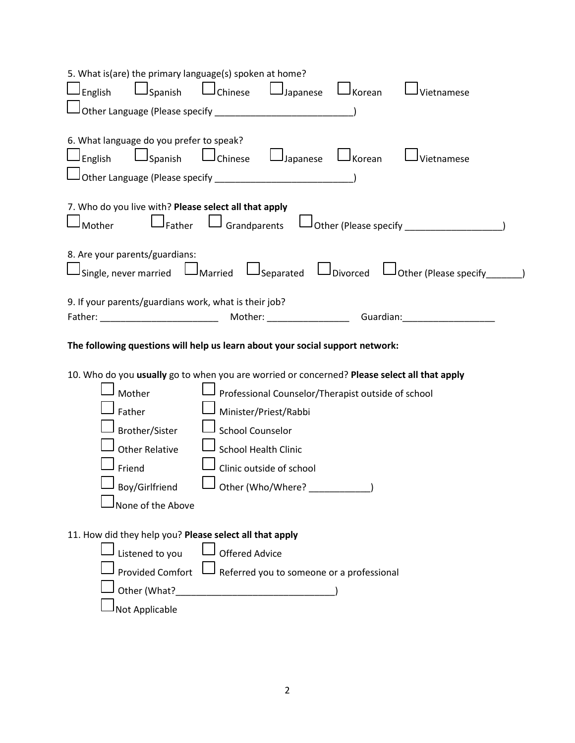| 5. What is(are) the primary language(s) spoken at home?<br>$\Box$ Spanish<br>$\Box$ Chinese $\Box$ Japanese<br>$\mathsf{\mathsf{J}}$ English<br>J Korean<br>J Vietnamese |
|--------------------------------------------------------------------------------------------------------------------------------------------------------------------------|
| 6. What language do you prefer to speak?<br>$\Box$ Spanish $\Box$ Chinese $\Box$ Japanese<br>$\mathsf{\mathcal{I}}$ English<br>J Korean<br>Vietnamese                    |
| 7. Who do you live with? Please select all that apply<br>$\mathsf{\mathsf{I}}$ Grandparents<br>Mother ا<br>J <sub>Father</sub>                                           |
| 8. Are your parents/guardians:<br>Usingle, never married UMarried USeparated UDivorced UOther (Please specify_______)                                                    |
| 9. If your parents/guardians work, what is their job?                                                                                                                    |
| The following questions will help us learn about your social support network:                                                                                            |
| 10. Who do you usually go to when you are worried or concerned? Please select all that apply                                                                             |
| Mother<br>Professional Counselor/Therapist outside of school                                                                                                             |
| Father<br>Minister/Priest/Rabbi                                                                                                                                          |
| Brother/Sister<br><b>School Counselor</b>                                                                                                                                |
| <b>Other Relative</b><br><b>School Health Clinic</b>                                                                                                                     |
| Clinic outside of school<br>Friend                                                                                                                                       |
| Boy/Girlfriend $\Box$ Other (Who/Where?                                                                                                                                  |
| None of the Above                                                                                                                                                        |
| 11. How did they help you? Please select all that apply                                                                                                                  |
| Listened to you<br><b>Offered Advice</b>                                                                                                                                 |
| <b>Provided Comfort</b><br>Referred you to someone or a professional                                                                                                     |
| Other (What?<br><u> 1990 - Johann Barn, mars ann an t-</u>                                                                                                               |
| Not Applicable                                                                                                                                                           |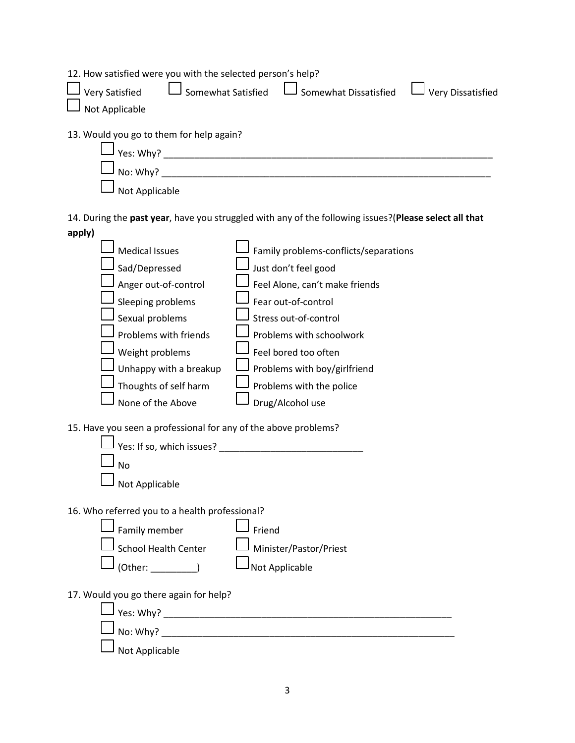| 12. How satisfied were you with the selected person's help?<br>Somewhat Satisfied<br><b>Very Satisfied</b><br>Somewhat Dissatisfied<br><b>Very Dissatisfied</b><br>Not Applicable |
|-----------------------------------------------------------------------------------------------------------------------------------------------------------------------------------|
| 13. Would you go to them for help again?<br>No: Why?<br>Not Applicable                                                                                                            |
| 14. During the past year, have you struggled with any of the following issues? (Please select all that                                                                            |
| apply)                                                                                                                                                                            |
| <b>Medical Issues</b><br>Family problems-conflicts/separations                                                                                                                    |
|                                                                                                                                                                                   |
| Sad/Depressed<br>Just don't feel good                                                                                                                                             |
| Anger out-of-control<br>Feel Alone, can't make friends                                                                                                                            |
| Sleeping problems<br>Fear out-of-control                                                                                                                                          |
| Sexual problems<br>Stress out-of-control                                                                                                                                          |
| Problems with friends<br>Problems with schoolwork                                                                                                                                 |
| Weight problems<br>Feel bored too often                                                                                                                                           |
| Unhappy with a breakup<br>Problems with boy/girlfriend                                                                                                                            |
| Thoughts of self harm<br>Problems with the police                                                                                                                                 |
| None of the Above<br>Drug/Alcohol use                                                                                                                                             |
| 15. Have you seen a professional for any of the above problems?<br>Yes: If so, which issues? _<br><b>No</b><br>Not Applicable                                                     |
| 16. Who referred you to a health professional?                                                                                                                                    |
| Family member<br>Friend                                                                                                                                                           |
|                                                                                                                                                                                   |
| <b>School Health Center</b><br>Minister/Pastor/Priest                                                                                                                             |
| Not Applicable<br>(Other:                                                                                                                                                         |
| 17. Would you go there again for help?<br>Not Applicable                                                                                                                          |
|                                                                                                                                                                                   |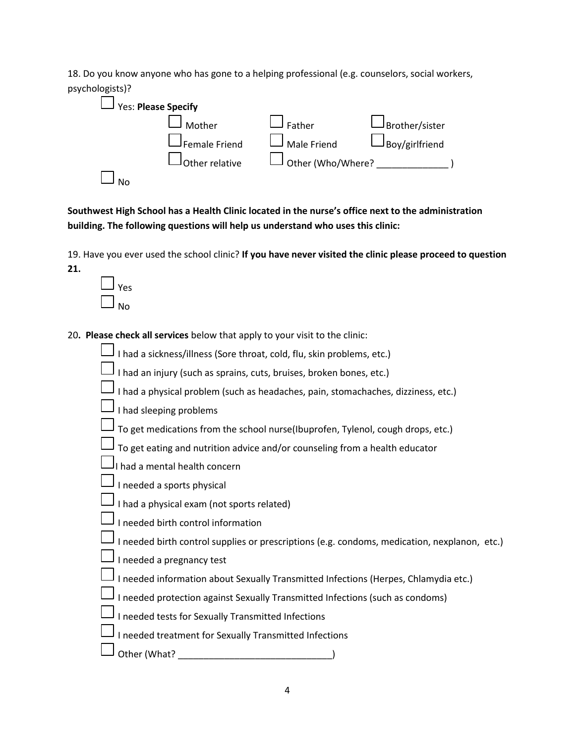18. Do you know anyone who has gone to a helping professional (e.g. counselors, social workers, psychologists)?



**Southwest High School has a Health Clinic located in the nurse's office next to the administration building. The following questions will help us understand who uses this clinic:**

19. Have you ever used the school clinic? **If you have never visited the clinic please proceed to question** 

| es/ |
|-----|
|     |

**21.**

20**. Please check all services** below that apply to your visit to the clinic:

|          | $\Box$ I had a sickness/illness (Sore throat, cold, flu, skin problems, etc.)                |
|----------|----------------------------------------------------------------------------------------------|
| └        | I had an injury (such as sprains, cuts, bruises, broken bones, etc.)                         |
| $\sqcup$ | I had a physical problem (such as headaches, pain, stomachaches, dizziness, etc.)            |
|          | I had sleeping problems                                                                      |
|          | $\Box$ To get medications from the school nurse(Ibuprofen, Tylenol, cough drops, etc.)       |
|          | $\Box$ To get eating and nutrition advice and/or counseling from a health educator           |
|          | $\bigsqcup_{\mathsf{I}}$ had a mental health concern                                         |
|          | $\bigsqcup_{n \in \mathsf{I} \text{ needed a sports physical}}$                              |
|          | I had a physical exam (not sports related)                                                   |
|          | I needed birth control information                                                           |
|          | I needed birth control supplies or prescriptions (e.g. condoms, medication, nexplanon, etc.) |
|          | $\Box$ I needed a pregnancy test                                                             |
|          | I needed information about Sexually Transmitted Infections (Herpes, Chlamydia etc.)          |
|          | I needed protection against Sexually Transmitted Infections (such as condoms)                |
|          | I needed tests for Sexually Transmitted Infections                                           |
|          | I needed treatment for Sexually Transmitted Infections                                       |
|          | Other (What?                                                                                 |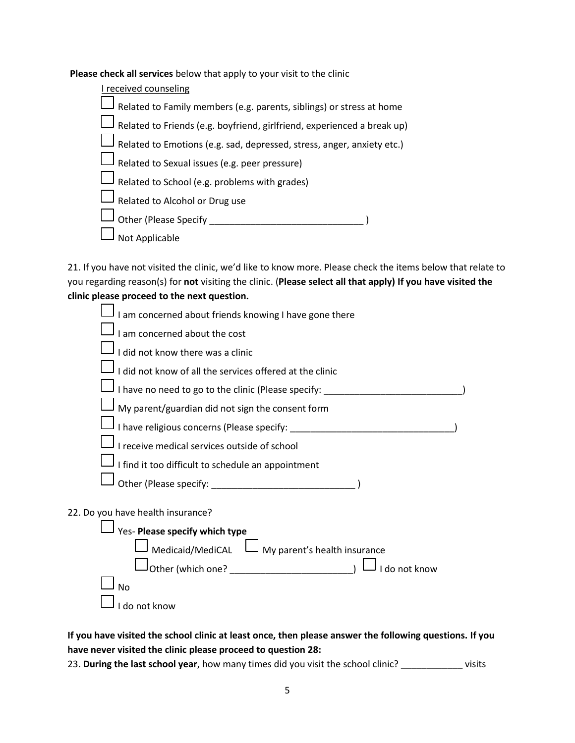**Please check all services** below that apply to your visit to the clinic

| I received counseling                                                               |
|-------------------------------------------------------------------------------------|
| Related to Family members (e.g. parents, siblings) or stress at home                |
| $\mathsf J$ Related to Friends (e.g. boyfriend, girlfriend, experienced a break up) |
| Related to Emotions (e.g. sad, depressed, stress, anger, anxiety etc.)              |
| Related to Sexual issues (e.g. peer pressure)                                       |
| Related to School (e.g. problems with grades)                                       |
| Related to Alcohol or Drug use                                                      |
| Other (Please Specify                                                               |
| Not Applicable                                                                      |

21. If you have not visited the clinic, we'd like to know more. Please check the items below that relate to you regarding reason(s) for **not** visiting the clinic. (**Please select all that apply) If you have visited the clinic please proceed to the next question.** 

| I am concerned about friends knowing I have gone there                                                         |  |
|----------------------------------------------------------------------------------------------------------------|--|
| I am concerned about the cost                                                                                  |  |
| I did not know there was a clinic                                                                              |  |
| I did not know of all the services offered at the clinic                                                       |  |
| I have no need to go to the clinic (Please specify: ____________________________                               |  |
| My parent/guardian did not sign the consent form                                                               |  |
| I have religious concerns (Please specify: National Planet and Planet and Planet and Planet and Planet and Pla |  |
| I receive medical services outside of school                                                                   |  |
| I find it too difficult to schedule an appointment                                                             |  |
|                                                                                                                |  |
| 22. Do you have health insurance?                                                                              |  |
| Yes- Please specify which type                                                                                 |  |
| Medicaid/MediCAL<br>My parent's health insurance                                                               |  |
| I do not know                                                                                                  |  |
| <b>No</b>                                                                                                      |  |
| do not know                                                                                                    |  |

**If you have visited the school clinic at least once, then please answer the following questions. If you have never visited the clinic please proceed to question 28:**

23. **During the last school year**, how many times did you visit the school clinic? \_\_\_\_\_\_\_\_\_\_\_\_ visits